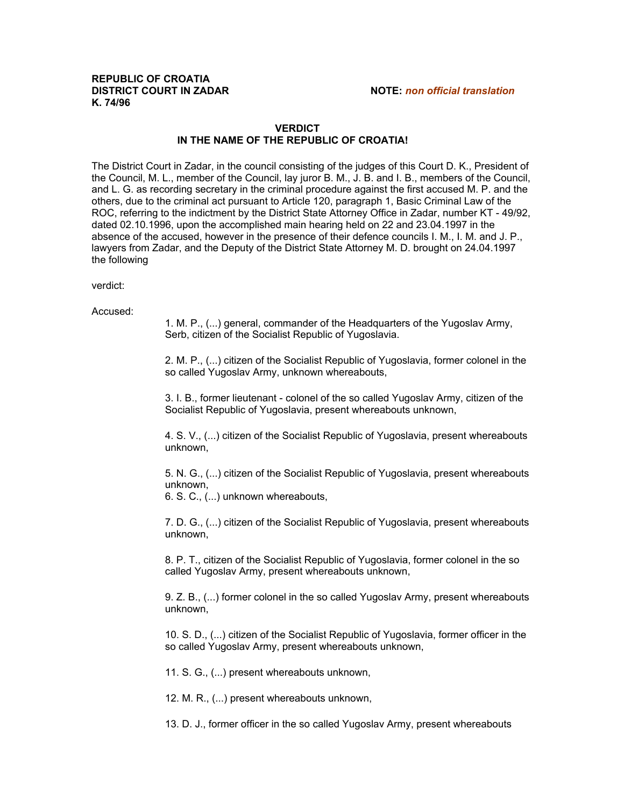## **REPUBLIC OF CROATIA DISTRICT COURT IN ZADAR NOTE:** *non official translation* **K. 74/96**

## **VERDICT IN THE NAME OF THE REPUBLIC OF CROATIA!**

The District Court in Zadar, in the council consisting of the judges of this Court D. K., President of the Council, M. L., member of the Council, lay juror B. M., J. B. and I. B., members of the Council, and L. G. as recording secretary in the criminal procedure against the first accused M. P. and the others, due to the criminal act pursuant to Article 120, paragraph 1, Basic Criminal Law of the ROC, referring to the indictment by the District State Attorney Office in Zadar, number KT - 49/92, dated 02.10.1996, upon the accomplished main hearing held on 22 and 23.04.1997 in the absence of the accused, however in the presence of their defence councils I. M., I. M. and J. P., lawyers from Zadar, and the Deputy of the District State Attorney M. D. brought on 24.04.1997 the following

verdict:

Accused:

1. M. P., (...) general, commander of the Headquarters of the Yugoslav Army, Serb, citizen of the Socialist Republic of Yugoslavia.

2. M. P., (...) citizen of the Socialist Republic of Yugoslavia, former colonel in the so called Yugoslav Army, unknown whereabouts,

3. I. B., former lieutenant - colonel of the so called Yugoslav Army, citizen of the Socialist Republic of Yugoslavia, present whereabouts unknown,

4. S. V., (...) citizen of the Socialist Republic of Yugoslavia, present whereabouts unknown,

5. N. G., (...) citizen of the Socialist Republic of Yugoslavia, present whereabouts unknown,

6. S. C., (...) unknown whereabouts,

7. D. G., (...) citizen of the Socialist Republic of Yugoslavia, present whereabouts unknown,

8. P. T., citizen of the Socialist Republic of Yugoslavia, former colonel in the so called Yugoslav Army, present whereabouts unknown,

9. Z. B., (...) former colonel in the so called Yugoslav Army, present whereabouts unknown,

10. S. D., (...) citizen of the Socialist Republic of Yugoslavia, former officer in the so called Yugoslav Army, present whereabouts unknown,

11. S. G., (...) present whereabouts unknown,

12. M. R., (...) present whereabouts unknown,

13. D. J., former officer in the so called Yugoslav Army, present whereabouts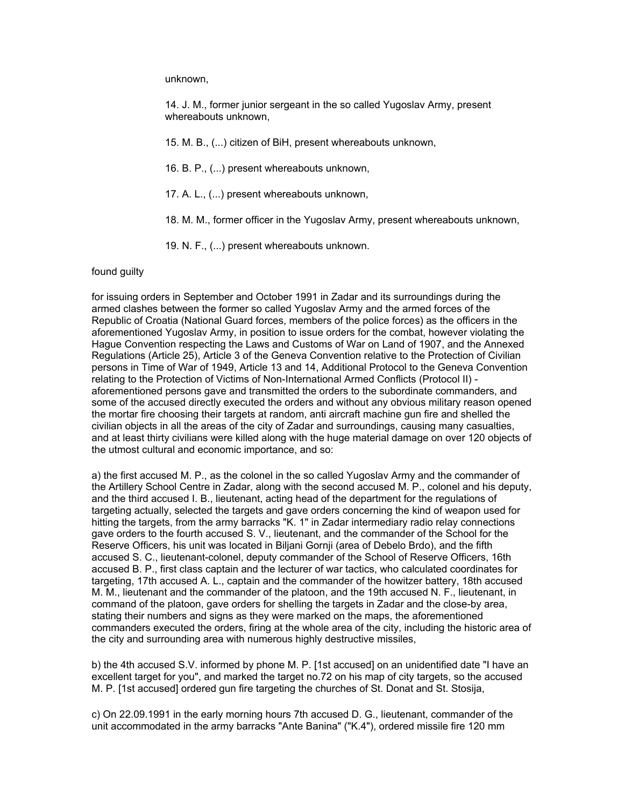unknown,

14. J. M., former junior sergeant in the so called Yugoslav Army, present whereabouts unknown,

15. M. B., (...) citizen of BiH, present whereabouts unknown,

16. B. P., (...) present whereabouts unknown,

- 17. A. L., (...) present whereabouts unknown,
- 18. M. M., former officer in the Yugoslav Army, present whereabouts unknown,
- 19. N. F., (...) present whereabouts unknown.

## found guilty

for issuing orders in September and October 1991 in Zadar and its surroundings during the armed clashes between the former so called Yugoslav Army and the armed forces of the Republic of Croatia (National Guard forces, members of the police forces) as the officers in the aforementioned Yugoslav Army, in position to issue orders for the combat, however violating the Hague Convention respecting the Laws and Customs of War on Land of 1907, and the Annexed Regulations (Article 25), Article 3 of the Geneva Convention relative to the Protection of Civilian persons in Time of War of 1949, Article 13 and 14, Additional Protocol to the Geneva Convention relating to the Protection of Victims of Non-International Armed Conflicts (Protocol II) aforementioned persons gave and transmitted the orders to the subordinate commanders, and some of the accused directly executed the orders and without any obvious military reason opened the mortar fire choosing their targets at random, anti aircraft machine gun fire and shelled the civilian objects in all the areas of the city of Zadar and surroundings, causing many casualties, and at least thirty civilians were killed along with the huge material damage on over 120 objects of the utmost cultural and economic importance, and so:

a) the first accused M. P., as the colonel in the so called Yugoslav Army and the commander of the Artillery School Centre in Zadar, along with the second accused M. P., colonel and his deputy, and the third accused I. B., lieutenant, acting head of the department for the regulations of targeting actually, selected the targets and gave orders concerning the kind of weapon used for hitting the targets, from the army barracks "K. 1" in Zadar intermediary radio relay connections gave orders to the fourth accused S. V., lieutenant, and the commander of the School for the Reserve Officers, his unit was located in Biljani Gornji (area of Debelo Brdo), and the fifth accused S. C., lieutenant-colonel, deputy commander of the School of Reserve Officers, 16th accused B. P., first class captain and the lecturer of war tactics, who calculated coordinates for targeting, 17th accused A. L., captain and the commander of the howitzer battery, 18th accused M. M., lieutenant and the commander of the platoon, and the 19th accused N. F., lieutenant, in command of the platoon, gave orders for shelling the targets in Zadar and the close-by area, stating their numbers and signs as they were marked on the maps, the aforementioned commanders executed the orders, firing at the whole area of the city, including the historic area of the city and surrounding area with numerous highly destructive missiles,

b) the 4th accused S.V. informed by phone M. P. [1st accused] on an unidentified date "I have an excellent target for you", and marked the target no.72 on his map of city targets, so the accused M. P. [1st accused] ordered gun fire targeting the churches of St. Donat and St. Stosija,

c) On 22.09.1991 in the early morning hours 7th accused D. G., lieutenant, commander of the unit accommodated in the army barracks "Ante Banina" ("K.4"), ordered missile fire 120 mm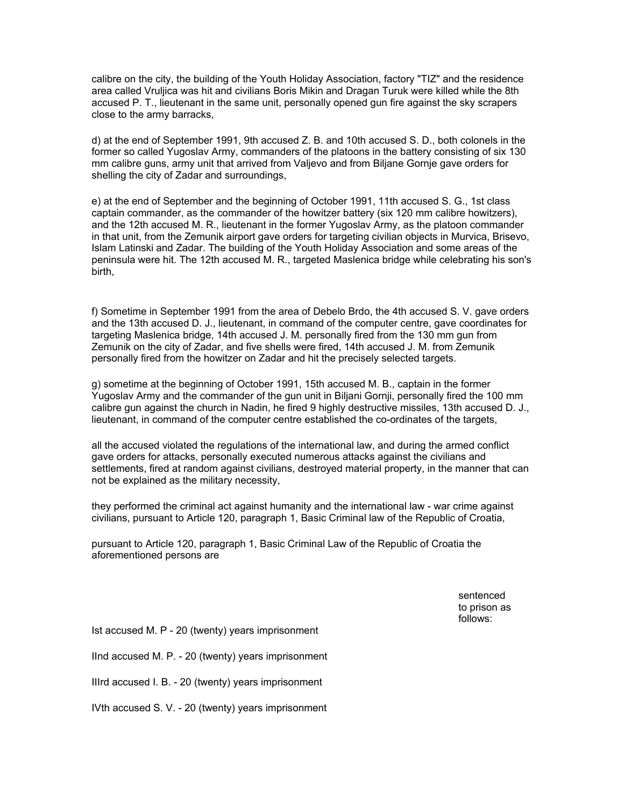calibre on the city, the building of the Youth Holiday Association, factory "TIZ" and the residence area called Vruljica was hit and civilians Boris Mikin and Dragan Turuk were killed while the 8th accused P. T., lieutenant in the same unit, personally opened gun fire against the sky scrapers close to the army barracks,

d) at the end of September 1991, 9th accused Z. B. and 10th accused S. D., both colonels in the former so called Yugoslav Army, commanders of the platoons in the battery consisting of six 130 mm calibre guns, army unit that arrived from Valjevo and from Biljane Gornje gave orders for shelling the city of Zadar and surroundings,

e) at the end of September and the beginning of October 1991, 11th accused S. G., 1st class captain commander, as the commander of the howitzer battery (six 120 mm calibre howitzers), and the 12th accused M. R., lieutenant in the former Yugoslav Army, as the platoon commander in that unit, from the Zemunik airport gave orders for targeting civilian objects in Murvica, Brisevo, Islam Latinski and Zadar. The building of the Youth Holiday Association and some areas of the peninsula were hit. The 12th accused M. R., targeted Maslenica bridge while celebrating his son's birth,

f) Sometime in September 1991 from the area of Debelo Brdo, the 4th accused S. V. gave orders and the 13th accused D. J., lieutenant, in command of the computer centre, gave coordinates for targeting Maslenica bridge, 14th accused J. M. personally fired from the 130 mm gun from Zemunik on the city of Zadar, and five shells were fired, 14th accused J. M. from Zemunik personally fired from the howitzer on Zadar and hit the precisely selected targets.

g) sometime at the beginning of October 1991, 15th accused M. B., captain in the former Yugoslav Army and the commander of the gun unit in Biljani Gornji, personally fired the 100 mm calibre gun against the church in Nadin, he fired 9 highly destructive missiles, 13th accused D. J., lieutenant, in command of the computer centre established the co-ordinates of the targets,

all the accused violated the regulations of the international law, and during the armed conflict gave orders for attacks, personally executed numerous attacks against the civilians and settlements, fired at random against civilians, destroyed material property, in the manner that can not be explained as the military necessity,

they performed the criminal act against humanity and the international law - war crime against civilians, pursuant to Article 120, paragraph 1, Basic Criminal law of the Republic of Croatia,

pursuant to Article 120, paragraph 1, Basic Criminal Law of the Republic of Croatia the aforementioned persons are

> sentenced to prison as follows:

Ist accused M. P - 20 (twenty) years imprisonment

IInd accused M. P. - 20 (twenty) years imprisonment

IIIrd accused I. B. - 20 (twenty) years imprisonment

IVth accused S. V. - 20 (twenty) years imprisonment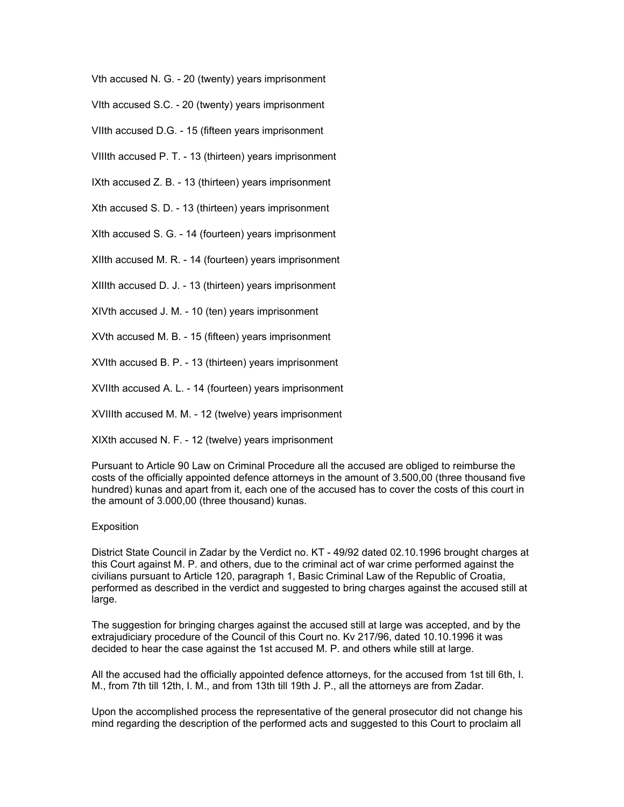Vth accused N. G. - 20 (twenty) years imprisonment

VIth accused S.C. - 20 (twenty) years imprisonment

VIIth accused D.G. - 15 (fifteen years imprisonment

VIIIth accused P. T. - 13 (thirteen) years imprisonment

IXth accused Z. B. - 13 (thirteen) years imprisonment

Xth accused S. D. - 13 (thirteen) years imprisonment

XIth accused S. G. - 14 (fourteen) years imprisonment

XIIth accused M. R. - 14 (fourteen) years imprisonment

XIIIth accused D. J. - 13 (thirteen) years imprisonment

XIVth accused J. M. - 10 (ten) years imprisonment

XVth accused M. B. - 15 (fifteen) years imprisonment

XVIth accused B. P. - 13 (thirteen) years imprisonment

XVIIth accused A. L. - 14 (fourteen) years imprisonment

XVIIIth accused M. M. - 12 (twelve) years imprisonment

XIXth accused N. F. - 12 (twelve) years imprisonment

Pursuant to Article 90 Law on Criminal Procedure all the accused are obliged to reimburse the costs of the officially appointed defence attorneys in the amount of 3.500,00 (three thousand five hundred) kunas and apart from it, each one of the accused has to cover the costs of this court in the amount of 3.000,00 (three thousand) kunas.

## Exposition

District State Council in Zadar by the Verdict no. KT - 49/92 dated 02.10.1996 brought charges at this Court against M. P. and others, due to the criminal act of war crime performed against the civilians pursuant to Article 120, paragraph 1, Basic Criminal Law of the Republic of Croatia, performed as described in the verdict and suggested to bring charges against the accused still at large.

The suggestion for bringing charges against the accused still at large was accepted, and by the extrajudiciary procedure of the Council of this Court no. Kv 217/96, dated 10.10.1996 it was decided to hear the case against the 1st accused M. P. and others while still at large.

All the accused had the officially appointed defence attorneys, for the accused from 1st till 6th, I. M., from 7th till 12th, I. M., and from 13th till 19th J. P., all the attorneys are from Zadar.

Upon the accomplished process the representative of the general prosecutor did not change his mind regarding the description of the performed acts and suggested to this Court to proclaim all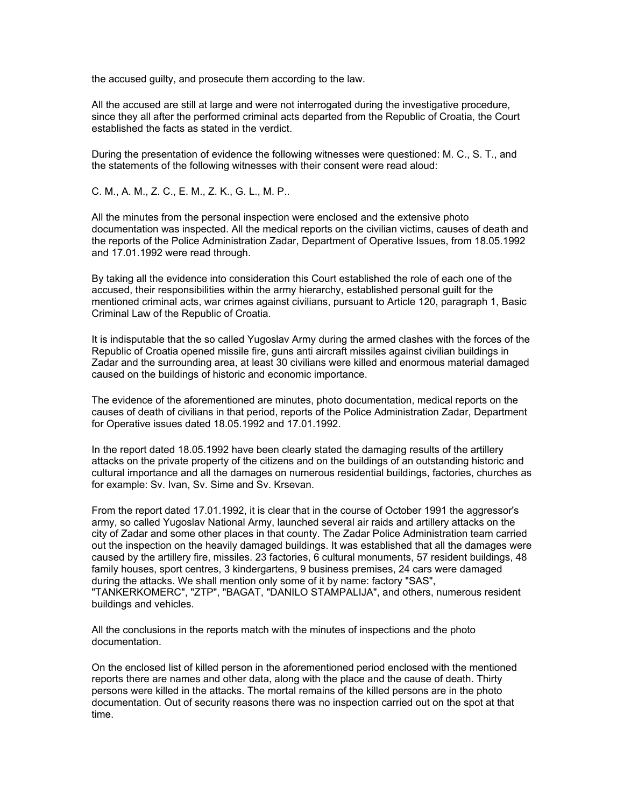the accused guilty, and prosecute them according to the law.

All the accused are still at large and were not interrogated during the investigative procedure, since they all after the performed criminal acts departed from the Republic of Croatia, the Court established the facts as stated in the verdict.

During the presentation of evidence the following witnesses were questioned: M. C., S. T., and the statements of the following witnesses with their consent were read aloud:

C. M., A. M., Z. C., E. M., Z. K., G. L., M. P..

All the minutes from the personal inspection were enclosed and the extensive photo documentation was inspected. All the medical reports on the civilian victims, causes of death and the reports of the Police Administration Zadar, Department of Operative Issues, from 18.05.1992 and 17.01.1992 were read through.

By taking all the evidence into consideration this Court established the role of each one of the accused, their responsibilities within the army hierarchy, established personal guilt for the mentioned criminal acts, war crimes against civilians, pursuant to Article 120, paragraph 1, Basic Criminal Law of the Republic of Croatia.

It is indisputable that the so called Yugoslav Army during the armed clashes with the forces of the Republic of Croatia opened missile fire, guns anti aircraft missiles against civilian buildings in Zadar and the surrounding area, at least 30 civilians were killed and enormous material damaged caused on the buildings of historic and economic importance.

The evidence of the aforementioned are minutes, photo documentation, medical reports on the causes of death of civilians in that period, reports of the Police Administration Zadar, Department for Operative issues dated 18.05.1992 and 17.01.1992.

In the report dated 18.05.1992 have been clearly stated the damaging results of the artillery attacks on the private property of the citizens and on the buildings of an outstanding historic and cultural importance and all the damages on numerous residential buildings, factories, churches as for example: Sv. Ivan, Sv. Sime and Sv. Krsevan.

From the report dated 17.01.1992, it is clear that in the course of October 1991 the aggressor's army, so called Yugoslav National Army, launched several air raids and artillery attacks on the city of Zadar and some other places in that county. The Zadar Police Administration team carried out the inspection on the heavily damaged buildings. It was established that all the damages were caused by the artillery fire, missiles. 23 factories, 6 cultural monuments, 57 resident buildings, 48 family houses, sport centres, 3 kindergartens, 9 business premises, 24 cars were damaged during the attacks. We shall mention only some of it by name: factory "SAS", "TANKERKOMERC", "ZTP", "BAGAT, "DANILO STAMPALIJA", and others, numerous resident buildings and vehicles.

All the conclusions in the reports match with the minutes of inspections and the photo documentation.

On the enclosed list of killed person in the aforementioned period enclosed with the mentioned reports there are names and other data, along with the place and the cause of death. Thirty persons were killed in the attacks. The mortal remains of the killed persons are in the photo documentation. Out of security reasons there was no inspection carried out on the spot at that time.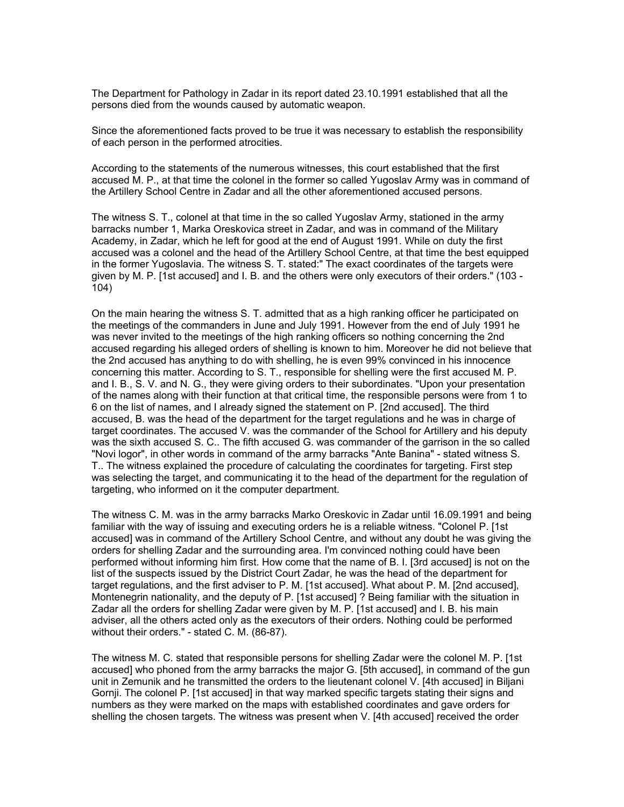The Department for Pathology in Zadar in its report dated 23.10.1991 established that all the persons died from the wounds caused by automatic weapon.

Since the aforementioned facts proved to be true it was necessary to establish the responsibility of each person in the performed atrocities.

According to the statements of the numerous witnesses, this court established that the first accused M. P., at that time the colonel in the former so called Yugoslav Army was in command of the Artillery School Centre in Zadar and all the other aforementioned accused persons.

The witness S. T., colonel at that time in the so called Yugoslav Army, stationed in the army barracks number 1, Marka Oreskovica street in Zadar, and was in command of the Military Academy, in Zadar, which he left for good at the end of August 1991. While on duty the first accused was a colonel and the head of the Artillery School Centre, at that time the best equipped in the former Yugoslavia. The witness S. T. stated:" The exact coordinates of the targets were given by M. P. [1st accused] and I. B. and the others were only executors of their orders." (103 - 104)

On the main hearing the witness S. T. admitted that as a high ranking officer he participated on the meetings of the commanders in June and July 1991. However from the end of July 1991 he was never invited to the meetings of the high ranking officers so nothing concerning the 2nd accused regarding his alleged orders of shelling is known to him. Moreover he did not believe that the 2nd accused has anything to do with shelling, he is even 99% convinced in his innocence concerning this matter. According to S. T., responsible for shelling were the first accused M. P. and I. B., S. V. and N. G., they were giving orders to their subordinates. "Upon your presentation of the names along with their function at that critical time, the responsible persons were from 1 to 6 on the list of names, and I already signed the statement on P. [2nd accused]. The third accused, B. was the head of the department for the target regulations and he was in charge of target coordinates. The accused V. was the commander of the School for Artillery and his deputy was the sixth accused S. C.. The fifth accused G. was commander of the garrison in the so called "Novi logor", in other words in command of the army barracks "Ante Banina" - stated witness S. T.. The witness explained the procedure of calculating the coordinates for targeting. First step was selecting the target, and communicating it to the head of the department for the regulation of targeting, who informed on it the computer department.

The witness C. M. was in the army barracks Marko Oreskovic in Zadar until 16.09.1991 and being familiar with the way of issuing and executing orders he is a reliable witness. "Colonel P. [1st accused] was in command of the Artillery School Centre, and without any doubt he was giving the orders for shelling Zadar and the surrounding area. I'm convinced nothing could have been performed without informing him first. How come that the name of B. I. [3rd accused] is not on the list of the suspects issued by the District Court Zadar, he was the head of the department for target regulations, and the first adviser to P. M. [1st accused]. What about P. M. [2nd accused], Montenegrin nationality, and the deputy of P. [1st accused] ? Being familiar with the situation in Zadar all the orders for shelling Zadar were given by M. P. [1st accused] and I. B. his main adviser, all the others acted only as the executors of their orders. Nothing could be performed without their orders." - stated C. M. (86-87).

The witness M. C. stated that responsible persons for shelling Zadar were the colonel M. P. [1st accused] who phoned from the army barracks the major G. [5th accused], in command of the gun unit in Zemunik and he transmitted the orders to the lieutenant colonel V. [4th accused] in Biljani Gornji. The colonel P. [1st accused] in that way marked specific targets stating their signs and numbers as they were marked on the maps with established coordinates and gave orders for shelling the chosen targets. The witness was present when V. [4th accused] received the order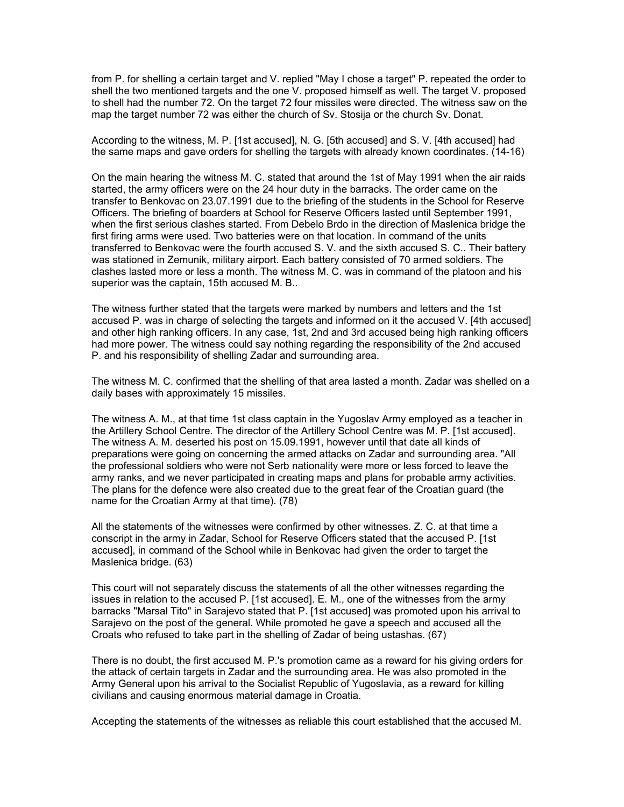from P. for shelling a certain target and V. replied "May I chose a target" P. repeated the order to shell the two mentioned targets and the one V. proposed himself as well. The target V. proposed to shell had the number 72. On the target 72 four missiles were directed. The witness saw on the map the target number 72 was either the church of Sv. Stosija or the church Sv. Donat.

According to the witness, M. P. [1st accused], N. G. [5th accused] and S. V. [4th accused] had the same maps and gave orders for shelling the targets with already known coordinates. (14-16)

On the main hearing the witness M. C. stated that around the 1st of May 1991 when the air raids started, the army officers were on the 24 hour duty in the barracks. The order came on the transfer to Benkovac on 23.07.1991 due to the briefing of the students in the School for Reserve Officers. The briefing of boarders at School for Reserve Officers lasted until September 1991, when the first serious clashes started. From Debelo Brdo in the direction of Maslenica bridge the first firing arms were used. Two batteries were on that location. In command of the units transferred to Benkovac were the fourth accused S. V. and the sixth accused S. C.. Their battery was stationed in Zemunik, military airport. Each battery consisted of 70 armed soldiers. The clashes lasted more or less a month. The witness M. C. was in command of the platoon and his superior was the captain, 15th accused M. B..

The witness further stated that the targets were marked by numbers and letters and the 1st accused P. was in charge of selecting the targets and informed on it the accused V. [4th accused] and other high ranking officers. In any case, 1st, 2nd and 3rd accused being high ranking officers had more power. The witness could say nothing regarding the responsibility of the 2nd accused P. and his responsibility of shelling Zadar and surrounding area.

The witness M. C. confirmed that the shelling of that area lasted a month. Zadar was shelled on a daily bases with approximately 15 missiles.

The witness A. M., at that time 1st class captain in the Yugoslav Army employed as a teacher in the Artillery School Centre. The director of the Artillery School Centre was M. P. [1st accused]. The witness A. M. deserted his post on 15.09.1991, however until that date all kinds of preparations were going on concerning the armed attacks on Zadar and surrounding area. "All the professional soldiers who were not Serb nationality were more or less forced to leave the army ranks, and we never participated in creating maps and plans for probable army activities. The plans for the defence were also created due to the great fear of the Croatian guard (the name for the Croatian Army at that time). (78)

All the statements of the witnesses were confirmed by other witnesses. Z. C. at that time a conscript in the army in Zadar, School for Reserve Officers stated that the accused P. [1st accused], in command of the School while in Benkovac had given the order to target the Maslenica bridge. (63)

This court will not separately discuss the statements of all the other witnesses regarding the issues in relation to the accused P. [1st accused]. E. M., one of the witnesses from the army barracks "Marsal Tito" in Sarajevo stated that P. [1st accused] was promoted upon his arrival to Sarajevo on the post of the general. While promoted he gave a speech and accused all the Croats who refused to take part in the shelling of Zadar of being ustashas. (67)

There is no doubt, the first accused M. P.'s promotion came as a reward for his giving orders for the attack of certain targets in Zadar and the surrounding area. He was also promoted in the Army General upon his arrival to the Socialist Republic of Yugoslavia, as a reward for killing civilians and causing enormous material damage in Croatia.

Accepting the statements of the witnesses as reliable this court established that the accused M.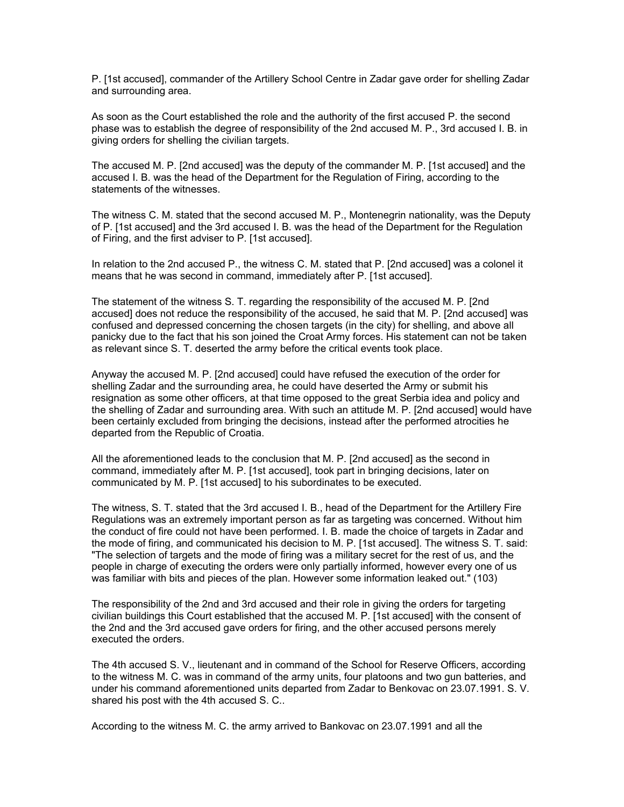P. [1st accused], commander of the Artillery School Centre in Zadar gave order for shelling Zadar and surrounding area.

As soon as the Court established the role and the authority of the first accused P. the second phase was to establish the degree of responsibility of the 2nd accused M. P., 3rd accused I. B. in giving orders for shelling the civilian targets.

The accused M. P. [2nd accused] was the deputy of the commander M. P. [1st accused] and the accused I. B. was the head of the Department for the Regulation of Firing, according to the statements of the witnesses.

The witness C. M. stated that the second accused M. P., Montenegrin nationality, was the Deputy of P. [1st accused] and the 3rd accused I. B. was the head of the Department for the Regulation of Firing, and the first adviser to P. [1st accused].

In relation to the 2nd accused P., the witness C. M. stated that P. [2nd accused] was a colonel it means that he was second in command, immediately after P. [1st accused].

The statement of the witness S. T. regarding the responsibility of the accused M. P. [2nd accused] does not reduce the responsibility of the accused, he said that M. P. [2nd accused] was confused and depressed concerning the chosen targets (in the city) for shelling, and above all panicky due to the fact that his son joined the Croat Army forces. His statement can not be taken as relevant since S. T. deserted the army before the critical events took place.

Anyway the accused M. P. [2nd accused] could have refused the execution of the order for shelling Zadar and the surrounding area, he could have deserted the Army or submit his resignation as some other officers, at that time opposed to the great Serbia idea and policy and the shelling of Zadar and surrounding area. With such an attitude M. P. [2nd accused] would have been certainly excluded from bringing the decisions, instead after the performed atrocities he departed from the Republic of Croatia.

All the aforementioned leads to the conclusion that M. P. [2nd accused] as the second in command, immediately after M. P. [1st accused], took part in bringing decisions, later on communicated by M. P. [1st accused] to his subordinates to be executed.

The witness, S. T. stated that the 3rd accused I. B., head of the Department for the Artillery Fire Regulations was an extremely important person as far as targeting was concerned. Without him the conduct of fire could not have been performed. I. B. made the choice of targets in Zadar and the mode of firing, and communicated his decision to M. P. [1st accused]. The witness S. T. said: "The selection of targets and the mode of firing was a military secret for the rest of us, and the people in charge of executing the orders were only partially informed, however every one of us was familiar with bits and pieces of the plan. However some information leaked out." (103)

The responsibility of the 2nd and 3rd accused and their role in giving the orders for targeting civilian buildings this Court established that the accused M. P. [1st accused] with the consent of the 2nd and the 3rd accused gave orders for firing, and the other accused persons merely executed the orders.

The 4th accused S. V., lieutenant and in command of the School for Reserve Officers, according to the witness M. C. was in command of the army units, four platoons and two gun batteries, and under his command aforementioned units departed from Zadar to Benkovac on 23.07.1991. S. V. shared his post with the 4th accused S. C..

According to the witness M. C. the army arrived to Bankovac on 23.07.1991 and all the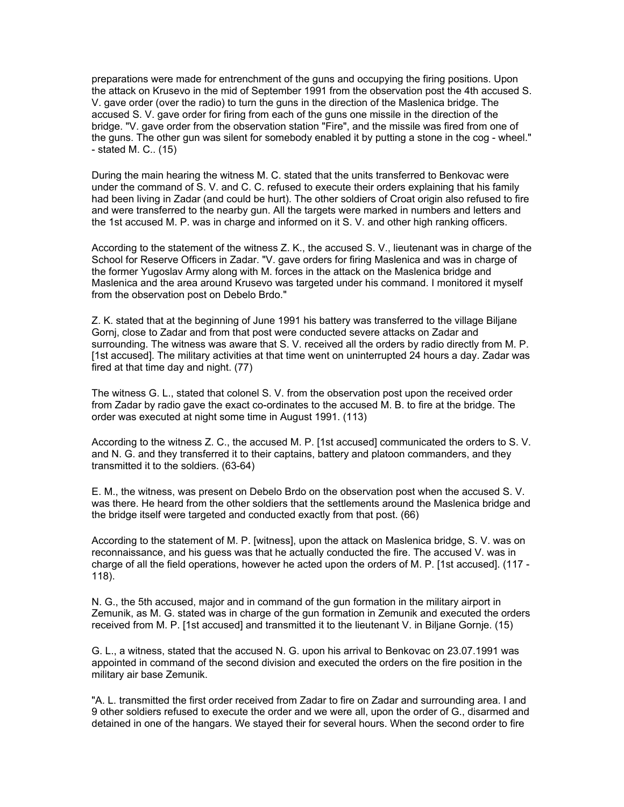preparations were made for entrenchment of the guns and occupying the firing positions. Upon the attack on Krusevo in the mid of September 1991 from the observation post the 4th accused S. V. gave order (over the radio) to turn the guns in the direction of the Maslenica bridge. The accused S. V. gave order for firing from each of the guns one missile in the direction of the bridge. "V. gave order from the observation station "Fire", and the missile was fired from one of the guns. The other gun was silent for somebody enabled it by putting a stone in the cog - wheel." - stated M. C.. (15)

During the main hearing the witness M. C. stated that the units transferred to Benkovac were under the command of S. V. and C. C. refused to execute their orders explaining that his family had been living in Zadar (and could be hurt). The other soldiers of Croat origin also refused to fire and were transferred to the nearby gun. All the targets were marked in numbers and letters and the 1st accused M. P. was in charge and informed on it S. V. and other high ranking officers.

According to the statement of the witness Z. K., the accused S. V., lieutenant was in charge of the School for Reserve Officers in Zadar. "V. gave orders for firing Maslenica and was in charge of the former Yugoslav Army along with M. forces in the attack on the Maslenica bridge and Maslenica and the area around Krusevo was targeted under his command. I monitored it myself from the observation post on Debelo Brdo."

Z. K. stated that at the beginning of June 1991 his battery was transferred to the village Biljane Gornj, close to Zadar and from that post were conducted severe attacks on Zadar and surrounding. The witness was aware that S. V. received all the orders by radio directly from M. P. [1st accused]. The military activities at that time went on uninterrupted 24 hours a day. Zadar was fired at that time day and night. (77)

The witness G. L., stated that colonel S. V. from the observation post upon the received order from Zadar by radio gave the exact co-ordinates to the accused M. B. to fire at the bridge. The order was executed at night some time in August 1991. (113)

According to the witness Z. C., the accused M. P. [1st accused] communicated the orders to S. V. and N. G. and they transferred it to their captains, battery and platoon commanders, and they transmitted it to the soldiers. (63-64)

E. M., the witness, was present on Debelo Brdo on the observation post when the accused S. V. was there. He heard from the other soldiers that the settlements around the Maslenica bridge and the bridge itself were targeted and conducted exactly from that post. (66)

According to the statement of M. P. [witness], upon the attack on Maslenica bridge, S. V. was on reconnaissance, and his guess was that he actually conducted the fire. The accused V. was in charge of all the field operations, however he acted upon the orders of M. P. [1st accused]. (117 - 118).

N. G., the 5th accused, major and in command of the gun formation in the military airport in Zemunik, as M. G. stated was in charge of the gun formation in Zemunik and executed the orders received from M. P. [1st accused] and transmitted it to the lieutenant V. in Biljane Gornje. (15)

G. L., a witness, stated that the accused N. G. upon his arrival to Benkovac on 23.07.1991 was appointed in command of the second division and executed the orders on the fire position in the military air base Zemunik.

"A. L. transmitted the first order received from Zadar to fire on Zadar and surrounding area. I and 9 other soldiers refused to execute the order and we were all, upon the order of G., disarmed and detained in one of the hangars. We stayed their for several hours. When the second order to fire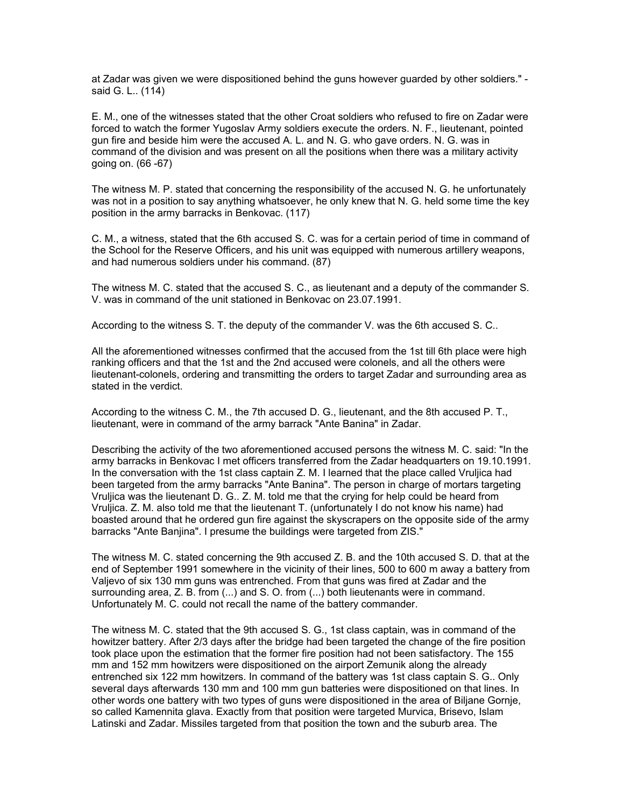at Zadar was given we were dispositioned behind the guns however guarded by other soldiers." said G. L.. (114)

E. M., one of the witnesses stated that the other Croat soldiers who refused to fire on Zadar were forced to watch the former Yugoslav Army soldiers execute the orders. N. F., lieutenant, pointed gun fire and beside him were the accused A. L. and N. G. who gave orders. N. G. was in command of the division and was present on all the positions when there was a military activity going on. (66 -67)

The witness M. P. stated that concerning the responsibility of the accused N. G. he unfortunately was not in a position to say anything whatsoever, he only knew that N. G. held some time the key position in the army barracks in Benkovac. (117)

C. M., a witness, stated that the 6th accused S. C. was for a certain period of time in command of the School for the Reserve Officers, and his unit was equipped with numerous artillery weapons, and had numerous soldiers under his command. (87)

The witness M. C. stated that the accused S. C., as lieutenant and a deputy of the commander S. V. was in command of the unit stationed in Benkovac on 23.07.1991.

According to the witness S. T. the deputy of the commander V. was the 6th accused S. C..

All the aforementioned witnesses confirmed that the accused from the 1st till 6th place were high ranking officers and that the 1st and the 2nd accused were colonels, and all the others were lieutenant-colonels, ordering and transmitting the orders to target Zadar and surrounding area as stated in the verdict.

According to the witness C. M., the 7th accused D. G., lieutenant, and the 8th accused P. T., lieutenant, were in command of the army barrack "Ante Banina" in Zadar.

Describing the activity of the two aforementioned accused persons the witness M. C. said: "In the army barracks in Benkovac I met officers transferred from the Zadar headquarters on 19.10.1991. In the conversation with the 1st class captain Z. M. I learned that the place called Vruljica had been targeted from the army barracks "Ante Banina". The person in charge of mortars targeting Vruljica was the lieutenant D. G.. Z. M. told me that the crying for help could be heard from Vruljica. Z. M. also told me that the lieutenant T. (unfortunately I do not know his name) had boasted around that he ordered gun fire against the skyscrapers on the opposite side of the army barracks "Ante Banjina". I presume the buildings were targeted from ZIS."

The witness M. C. stated concerning the 9th accused Z. B. and the 10th accused S. D. that at the end of September 1991 somewhere in the vicinity of their lines, 500 to 600 m away a battery from Valjevo of six 130 mm guns was entrenched. From that guns was fired at Zadar and the surrounding area, Z. B. from (...) and S. O. from (...) both lieutenants were in command. Unfortunately M. C. could not recall the name of the battery commander.

The witness M. C. stated that the 9th accused S. G., 1st class captain, was in command of the howitzer battery. After 2/3 days after the bridge had been targeted the change of the fire position took place upon the estimation that the former fire position had not been satisfactory. The 155 mm and 152 mm howitzers were dispositioned on the airport Zemunik along the already entrenched six 122 mm howitzers. In command of the battery was 1st class captain S. G.. Only several days afterwards 130 mm and 100 mm gun batteries were dispositioned on that lines. In other words one battery with two types of guns were dispositioned in the area of Biljane Gornje, so called Kamennita glava. Exactly from that position were targeted Murvica, Brisevo, Islam Latinski and Zadar. Missiles targeted from that position the town and the suburb area. The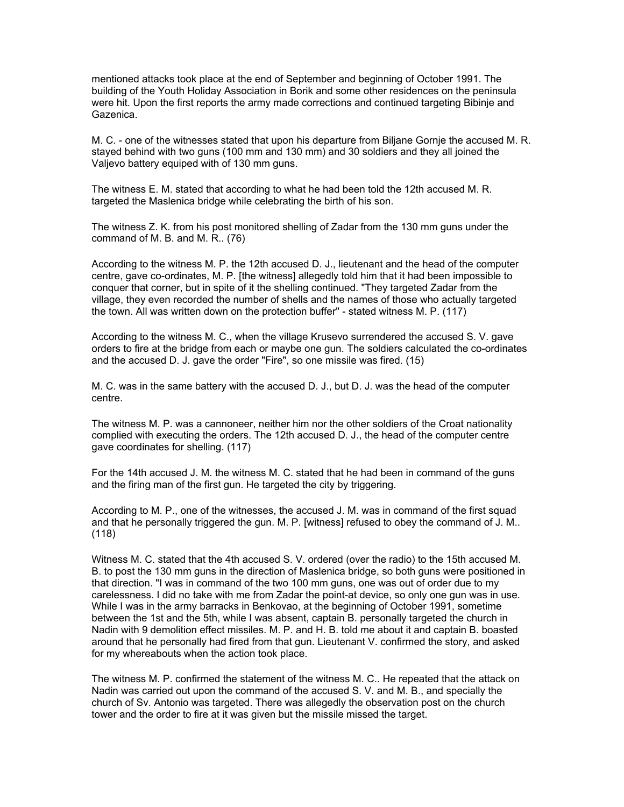mentioned attacks took place at the end of September and beginning of October 1991. The building of the Youth Holiday Association in Borik and some other residences on the peninsula were hit. Upon the first reports the army made corrections and continued targeting Bibinje and Gazenica.

M. C. - one of the witnesses stated that upon his departure from Biljane Gornje the accused M. R. stayed behind with two guns (100 mm and 130 mm) and 30 soldiers and they all joined the Valjevo battery equiped with of 130 mm guns.

The witness E. M. stated that according to what he had been told the 12th accused M. R. targeted the Maslenica bridge while celebrating the birth of his son.

The witness Z. K. from his post monitored shelling of Zadar from the 130 mm guns under the command of M. B. and M. R.. (76)

According to the witness M. P. the 12th accused D. J., lieutenant and the head of the computer centre, gave co-ordinates, M. P. [the witness] allegedly told him that it had been impossible to conquer that corner, but in spite of it the shelling continued. "They targeted Zadar from the village, they even recorded the number of shells and the names of those who actually targeted the town. All was written down on the protection buffer" - stated witness M. P. (117)

According to the witness M. C., when the village Krusevo surrendered the accused S. V. gave orders to fire at the bridge from each or maybe one gun. The soldiers calculated the co-ordinates and the accused D. J. gave the order "Fire", so one missile was fired. (15)

M. C. was in the same battery with the accused D. J., but D. J. was the head of the computer centre.

The witness M. P. was a cannoneer, neither him nor the other soldiers of the Croat nationality complied with executing the orders. The 12th accused D. J., the head of the computer centre gave coordinates for shelling. (117)

For the 14th accused J. M. the witness M. C. stated that he had been in command of the guns and the firing man of the first gun. He targeted the city by triggering.

According to M. P., one of the witnesses, the accused J. M. was in command of the first squad and that he personally triggered the gun. M. P. [witness] refused to obey the command of J. M.. (118)

Witness M. C. stated that the 4th accused S. V. ordered (over the radio) to the 15th accused M. B. to post the 130 mm guns in the direction of Maslenica bridge, so both guns were positioned in that direction. "I was in command of the two 100 mm guns, one was out of order due to my carelessness. I did no take with me from Zadar the point-at device, so only one gun was in use. While I was in the army barracks in Benkovao, at the beginning of October 1991, sometime between the 1st and the 5th, while I was absent, captain B. personally targeted the church in Nadin with 9 demolition effect missiles. M. P. and H. B. told me about it and captain B. boasted around that he personally had fired from that gun. Lieutenant V. confirmed the story, and asked for my whereabouts when the action took place.

The witness M. P. confirmed the statement of the witness M. C.. He repeated that the attack on Nadin was carried out upon the command of the accused S. V. and M. B., and specially the church of Sv. Antonio was targeted. There was allegedly the observation post on the church tower and the order to fire at it was given but the missile missed the target.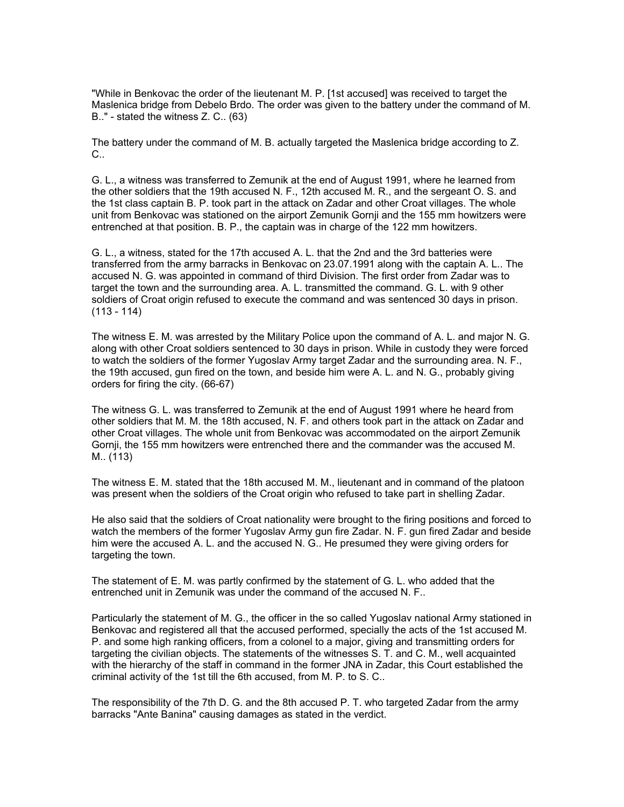"While in Benkovac the order of the lieutenant M. P. [1st accused] was received to target the Maslenica bridge from Debelo Brdo. The order was given to the battery under the command of M. B.." - stated the witness Z. C.. (63)

The battery under the command of M. B. actually targeted the Maslenica bridge according to Z. C.

G. L., a witness was transferred to Zemunik at the end of August 1991, where he learned from the other soldiers that the 19th accused N. F., 12th accused M. R., and the sergeant O. S. and the 1st class captain B. P. took part in the attack on Zadar and other Croat villages. The whole unit from Benkovac was stationed on the airport Zemunik Gornji and the 155 mm howitzers were entrenched at that position. B. P., the captain was in charge of the 122 mm howitzers.

G. L., a witness, stated for the 17th accused A. L. that the 2nd and the 3rd batteries were transferred from the army barracks in Benkovac on 23.07.1991 along with the captain A. L.. The accused N. G. was appointed in command of third Division. The first order from Zadar was to target the town and the surrounding area. A. L. transmitted the command. G. L. with 9 other soldiers of Croat origin refused to execute the command and was sentenced 30 days in prison.  $(113 - 114)$ 

The witness E. M. was arrested by the Military Police upon the command of A. L. and major N. G. along with other Croat soldiers sentenced to 30 days in prison. While in custody they were forced to watch the soldiers of the former Yugoslav Army target Zadar and the surrounding area. N. F., the 19th accused, gun fired on the town, and beside him were A. L. and N. G., probably giving orders for firing the city. (66-67)

The witness G. L. was transferred to Zemunik at the end of August 1991 where he heard from other soldiers that M. M. the 18th accused, N. F. and others took part in the attack on Zadar and other Croat villages. The whole unit from Benkovac was accommodated on the airport Zemunik Gornji, the 155 mm howitzers were entrenched there and the commander was the accused M. M.. (113)

The witness E. M. stated that the 18th accused M. M., lieutenant and in command of the platoon was present when the soldiers of the Croat origin who refused to take part in shelling Zadar.

He also said that the soldiers of Croat nationality were brought to the firing positions and forced to watch the members of the former Yugoslav Army gun fire Zadar. N. F. gun fired Zadar and beside him were the accused A. L. and the accused N. G.. He presumed they were giving orders for targeting the town.

The statement of E. M. was partly confirmed by the statement of G. L. who added that the entrenched unit in Zemunik was under the command of the accused N. F..

Particularly the statement of M. G., the officer in the so called Yugoslav national Army stationed in Benkovac and registered all that the accused performed, specially the acts of the 1st accused M. P. and some high ranking officers, from a colonel to a major, giving and transmitting orders for targeting the civilian objects. The statements of the witnesses S. T. and C. M., well acquainted with the hierarchy of the staff in command in the former JNA in Zadar, this Court established the criminal activity of the 1st till the 6th accused, from M. P. to S. C..

The responsibility of the 7th D. G. and the 8th accused P. T. who targeted Zadar from the army barracks "Ante Banina" causing damages as stated in the verdict.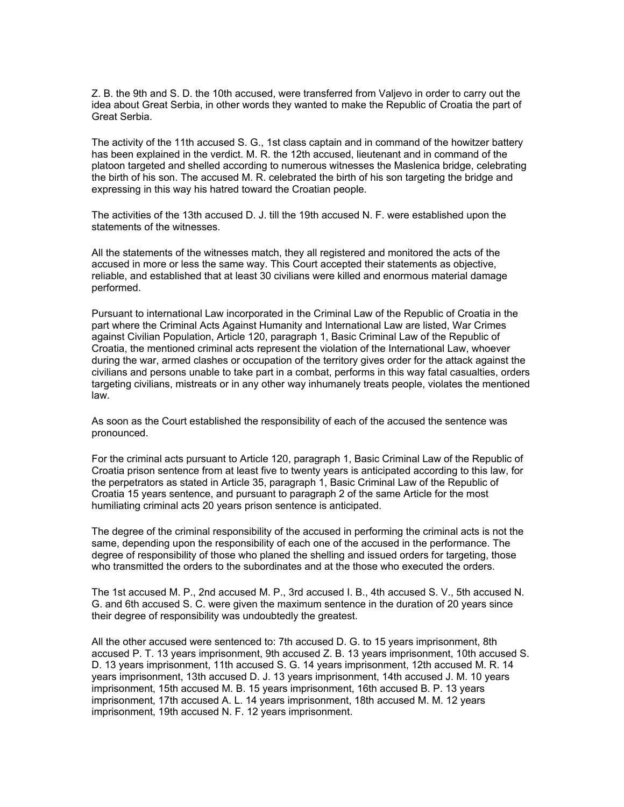Z. B. the 9th and S. D. the 10th accused, were transferred from Valjevo in order to carry out the idea about Great Serbia, in other words they wanted to make the Republic of Croatia the part of Great Serbia.

The activity of the 11th accused S. G., 1st class captain and in command of the howitzer battery has been explained in the verdict. M. R. the 12th accused, lieutenant and in command of the platoon targeted and shelled according to numerous witnesses the Maslenica bridge, celebrating the birth of his son. The accused M. R. celebrated the birth of his son targeting the bridge and expressing in this way his hatred toward the Croatian people.

The activities of the 13th accused D. J. till the 19th accused N. F. were established upon the statements of the witnesses.

All the statements of the witnesses match, they all registered and monitored the acts of the accused in more or less the same way. This Court accepted their statements as objective, reliable, and established that at least 30 civilians were killed and enormous material damage performed.

Pursuant to international Law incorporated in the Criminal Law of the Republic of Croatia in the part where the Criminal Acts Against Humanity and International Law are listed, War Crimes against Civilian Population, Article 120, paragraph 1, Basic Criminal Law of the Republic of Croatia, the mentioned criminal acts represent the violation of the International Law, whoever during the war, armed clashes or occupation of the territory gives order for the attack against the civilians and persons unable to take part in a combat, performs in this way fatal casualties, orders targeting civilians, mistreats or in any other way inhumanely treats people, violates the mentioned law.

As soon as the Court established the responsibility of each of the accused the sentence was pronounced.

For the criminal acts pursuant to Article 120, paragraph 1, Basic Criminal Law of the Republic of Croatia prison sentence from at least five to twenty years is anticipated according to this law, for the perpetrators as stated in Article 35, paragraph 1, Basic Criminal Law of the Republic of Croatia 15 years sentence, and pursuant to paragraph 2 of the same Article for the most humiliating criminal acts 20 years prison sentence is anticipated.

The degree of the criminal responsibility of the accused in performing the criminal acts is not the same, depending upon the responsibility of each one of the accused in the performance. The degree of responsibility of those who planed the shelling and issued orders for targeting, those who transmitted the orders to the subordinates and at the those who executed the orders.

The 1st accused M. P., 2nd accused M. P., 3rd accused I. B., 4th accused S. V., 5th accused N. G. and 6th accused S. C. were given the maximum sentence in the duration of 20 years since their degree of responsibility was undoubtedly the greatest.

All the other accused were sentenced to: 7th accused D. G. to 15 years imprisonment, 8th accused P. T. 13 years imprisonment, 9th accused Z. B. 13 years imprisonment, 10th accused S. D. 13 years imprisonment, 11th accused S. G. 14 years imprisonment, 12th accused M. R. 14 years imprisonment, 13th accused D. J. 13 years imprisonment, 14th accused J. M. 10 years imprisonment, 15th accused M. B. 15 years imprisonment, 16th accused B. P. 13 years imprisonment, 17th accused A. L. 14 years imprisonment, 18th accused M. M. 12 years imprisonment, 19th accused N. F. 12 years imprisonment.